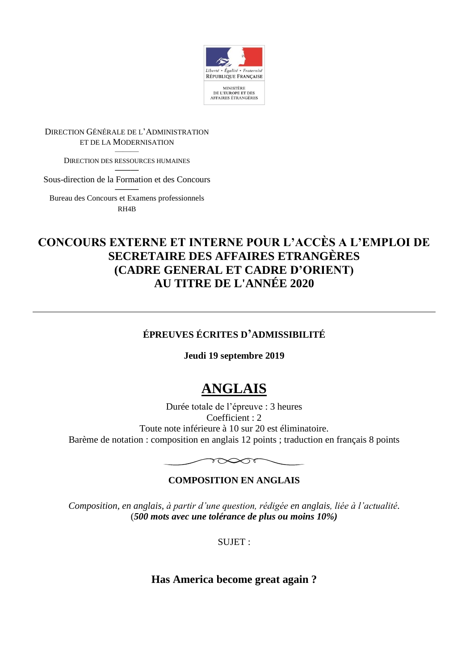

DIRECTION GÉNÉRALE DE L'ADMINISTRATION ET DE LA MODERNISATION

> ——— DIRECTION DES RESSOURCES HUMAINES

——— Sous-direction de la Formation et des Concours

——— Bureau des Concours et Examens professionnels RH4B

## **CONCOURS EXTERNE ET INTERNE POUR L'ACCÈS A L'EMPLOI DE SECRETAIRE DES AFFAIRES ETRANGÈRES (CADRE GENERAL ET CADRE D'ORIENT) AU TITRE DE L'ANNÉE 2020**

### **ÉPREUVES ÉCRITES D'ADMISSIBILITÉ**

**Jeudi 19 septembre 2019**

# **ANGLAIS**

Durée totale de l'épreuve : 3 heures Coefficient : 2 Toute note inférieure à 10 sur 20 est éliminatoire. Barème de notation : composition en anglais 12 points ; traduction en français 8 points



#### **COMPOSITION EN ANGLAIS**

*Composition, en anglais, à partir d'une question, rédigée en anglais, liée à l'actualité.* (*500 mots avec une tolérance de plus ou moins 10%)*

SUJET :

**Has America become great again ?**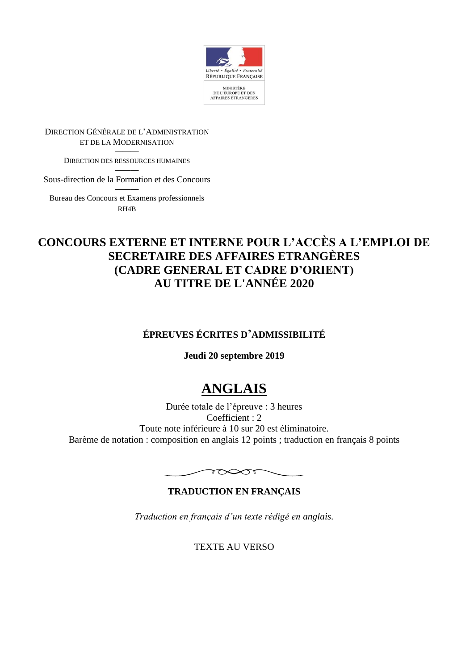

DIRECTION GÉNÉRALE DE L'ADMINISTRATION ET DE LA MODERNISATION

> ——— DIRECTION DES RESSOURCES HUMAINES

——— Sous-direction de la Formation et des Concours

——— Bureau des Concours et Examens professionnels RH4B

## **CONCOURS EXTERNE ET INTERNE POUR L'ACCÈS A L'EMPLOI DE SECRETAIRE DES AFFAIRES ETRANGÈRES (CADRE GENERAL ET CADRE D'ORIENT) AU TITRE DE L'ANNÉE 2020**

### **ÉPREUVES ÉCRITES D'ADMISSIBILITÉ**

**Jeudi 20 septembre 2019**

# **ANGLAIS**

Durée totale de l'épreuve : 3 heures Coefficient : 2 Toute note inférieure à 10 sur 20 est éliminatoire. Barème de notation : composition en anglais 12 points ; traduction en français 8 points



#### **TRADUCTION EN FRANÇAIS**

*Traduction en français d'un texte rédigé en anglais.*

TEXTE AU VERSO